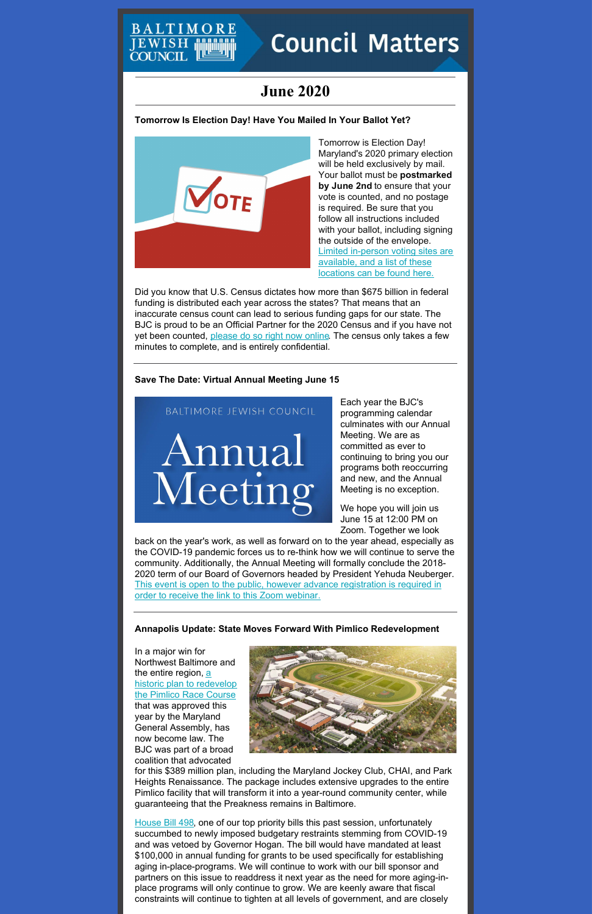# TIMORE

# **Council Matters**

# **June 2020**

**Tomorrow Is Election Day! Have You Mailed In Your Ballot Yet?**



Tomorrow is Election Day! Maryland's 2020 primary election will be held exclusively by mail. Your ballot must be **postmarked by June 2nd** to ensure that your vote is counted, and no postage is required. Be sure that you follow all instructions included with your ballot, including signing the outside of the envelope. Limited in-person voting sites are [available,](https://www.elections.maryland.gov/elections/2020/index.html) and a list of these locations can be found here.

Did you know that U.S. Census dictates how more than \$675 billion in federal funding is distributed each year across the states? That means that an inaccurate census count can lead to serious funding gaps for our state. The BJC is proud to be an Official Partner for the 2020 Census and if you have not yet been counted, [please](http://census.gov/) do so right now online. The census only takes a few minutes to complete, and is entirely confidential.

# **Save The Date: Virtual Annual Meeting June 15**

# BALTIMORE JEWISH COUNCIL

Annual Meeting

the entire region, <u>a</u> historic plan to [redevelop](https://www.baltimoresun.com/sports/horse-racing/bs-md-preakness-baltimore-20200507-m6s6bfadknb5bcwajwqpxte4je-story.html) the Pimlico Race Course that was approved this year by the Maryland General Assembly, has now become law. The BJC was part of a broad coalition that advocated

Each year the BJC's programming calendar culminates with our Annual Meeting. We are as committed as ever to continuing to bring you our programs both reoccurring and new, and the Annual Meeting is no exception.

We hope you will join us June 15 at 12:00 PM on Zoom. Together we look

back on the year's work, as well as forward on to the year ahead, especially as the COVID-19 pandemic forces us to re-think how we will continue to serve the community. Additionally, the Annual Meeting will formally conclude the 2018- 2020 term of our Board of Governors headed by President Yehuda Neuberger. This event is open to the public, however advance [registration](https://jcfb.zoom.us/webinar/register/WN_O6kFRVxbQSi00cLI-QoQ-A) is required in order to receive the link to this Zoom webinar.

# **Annapolis Update: State Moves Forward With Pimlico Redevelopment**

In a major win for Northwest Baltimore and



for this \$389 million plan, including the Maryland Jockey Club, CHAI, and Park Heights Renaissance. The package includes extensive upgrades to the entire Pimlico facility that will transform it into a year-round community center, while guaranteeing that the Preakness remains in Baltimore.

[House](http://mgaleg.maryland.gov/mgawebsite/Legislation/Details/hb0498?ys=2020RS) Bill 498, one of our top priority bills this past session, unfortunately succumbed to newly imposed budgetary restraints stemming from COVID-19 and was vetoed by Governor Hogan. The bill would have mandated at least \$100,000 in annual funding for grants to be used specifically for establishing aging in-place-programs. We will continue to work with our bill sponsor and partners on this issue to readdress it next year as the need for more aging-inplace programs will only continue to grow. We are keenly aware that fiscal constraints will continue to tighten at all levels of government, and are closely